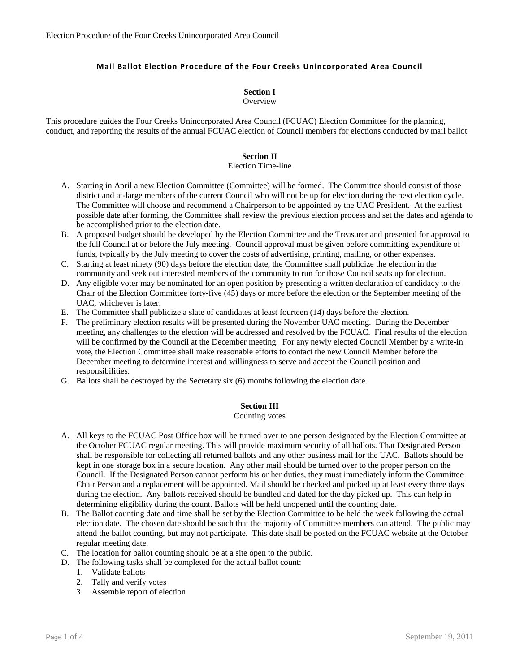# **Mail Ballot Election Procedure of the Four Creeks Unincorporated Area Council**

# **Section I**

#### **Overview**

This procedure guides the Four Creeks Unincorporated Area Council (FCUAC) Election Committee for the planning, conduct, and reporting the results of the annual FCUAC election of Council members for elections conducted by mail ballot

## **Section II**

#### Election Time-line

- A. Starting in April a new Election Committee (Committee) will be formed. The Committee should consist of those district and at-large members of the current Council who will not be up for election during the next election cycle. The Committee will choose and recommend a Chairperson to be appointed by the UAC President. At the earliest possible date after forming, the Committee shall review the previous election process and set the dates and agenda to be accomplished prior to the election date.
- B. A proposed budget should be developed by the Election Committee and the Treasurer and presented for approval to the full Council at or before the July meeting. Council approval must be given before committing expenditure of funds, typically by the July meeting to cover the costs of advertising, printing, mailing, or other expenses.
- C. Starting at least ninety (90) days before the election date, the Committee shall publicize the election in the community and seek out interested members of the community to run for those Council seats up for election.
- D. Any eligible voter may be nominated for an open position by presenting a written declaration of candidacy to the Chair of the Election Committee forty-five (45) days or more before the election or the September meeting of the UAC, whichever is later.
- E. The Committee shall publicize a slate of candidates at least fourteen (14) days before the election.
- F. The preliminary election results will be presented during the November UAC meeting. During the December meeting, any challenges to the election will be addressed and resolved by the FCUAC. Final results of the election will be confirmed by the Council at the December meeting. For any newly elected Council Member by a write-in vote, the Election Committee shall make reasonable efforts to contact the new Council Member before the December meeting to determine interest and willingness to serve and accept the Council position and responsibilities.
- G. Ballots shall be destroyed by the Secretary six (6) months following the election date.

## **Section III**

#### Counting votes

- A. All keys to the FCUAC Post Office box will be turned over to one person designated by the Election Committee at the October FCUAC regular meeting. This will provide maximum security of all ballots. That Designated Person shall be responsible for collecting all returned ballots and any other business mail for the UAC. Ballots should be kept in one storage box in a secure location. Any other mail should be turned over to the proper person on the Council. If the Designated Person cannot perform his or her duties, they must immediately inform the Committee Chair Person and a replacement will be appointed. Mail should be checked and picked up at least every three days during the election. Any ballots received should be bundled and dated for the day picked up. This can help in determining eligibility during the count. Ballots will be held unopened until the counting date.
- B. The Ballot counting date and time shall be set by the Election Committee to be held the week following the actual election date. The chosen date should be such that the majority of Committee members can attend. The public may attend the ballot counting, but may not participate. This date shall be posted on the FCUAC website at the October regular meeting date.
- C. The location for ballot counting should be at a site open to the public.
- D. The following tasks shall be completed for the actual ballot count:
	- 1. Validate ballots
	- 2. Tally and verify votes
	- 3. Assemble report of election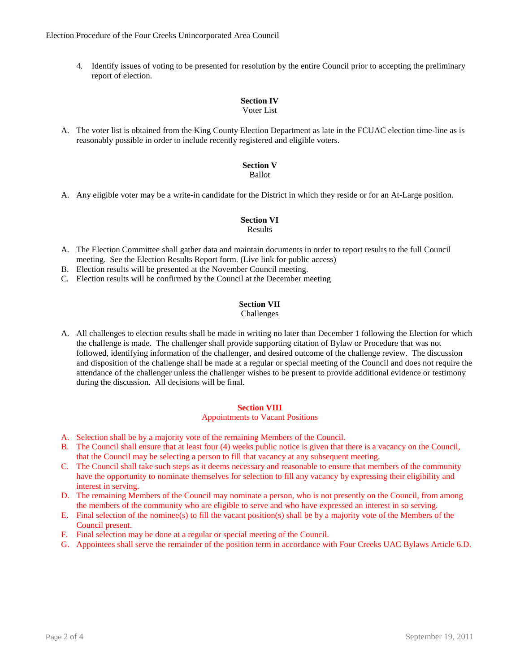4. Identify issues of voting to be presented for resolution by the entire Council prior to accepting the preliminary report of election.

# **Section IV**

### Voter List

A. The voter list is obtained from the King County Election Department as late in the FCUAC election time-line as is reasonably possible in order to include recently registered and eligible voters.

# **Section V**

# Ballot

A. Any eligible voter may be a write-in candidate for the District in which they reside or for an At-Large position.

# **Section VI**

# Results

- A. The Election Committee shall gather data and maintain documents in order to report results to the full Council meeting. See the Election Results Report form. (Live link for public access)
- B. Election results will be presented at the November Council meeting.
- C. Election results will be confirmed by the Council at the December meeting

## **Section VII**

# Challenges

A. All challenges to election results shall be made in writing no later than December 1 following the Election for which the challenge is made. The challenger shall provide supporting citation of Bylaw or Procedure that was not followed, identifying information of the challenger, and desired outcome of the challenge review. The discussion and disposition of the challenge shall be made at a regular or special meeting of the Council and does not require the attendance of the challenger unless the challenger wishes to be present to provide additional evidence or testimony during the discussion. All decisions will be final.

## **Section VIII**

#### Appointments to Vacant Positions

- A. Selection shall be by a majority vote of the remaining Members of the Council.
- B. The Council shall ensure that at least four (4) weeks public notice is given that there is a vacancy on the Council, that the Council may be selecting a person to fill that vacancy at any subsequent meeting.
- C. The Council shall take such steps as it deems necessary and reasonable to ensure that members of the community have the opportunity to nominate themselves for selection to fill any vacancy by expressing their eligibility and interest in serving.
- D. The remaining Members of the Council may nominate a person, who is not presently on the Council, from among the members of the community who are eligible to serve and who have expressed an interest in so serving.
- E. Final selection of the nominee(s) to fill the vacant position(s) shall be by a majority vote of the Members of the Council present.
- F. Final selection may be done at a regular or special meeting of the Council.
- G. Appointees shall serve the remainder of the position term in accordance with Four Creeks UAC Bylaws Article 6.D.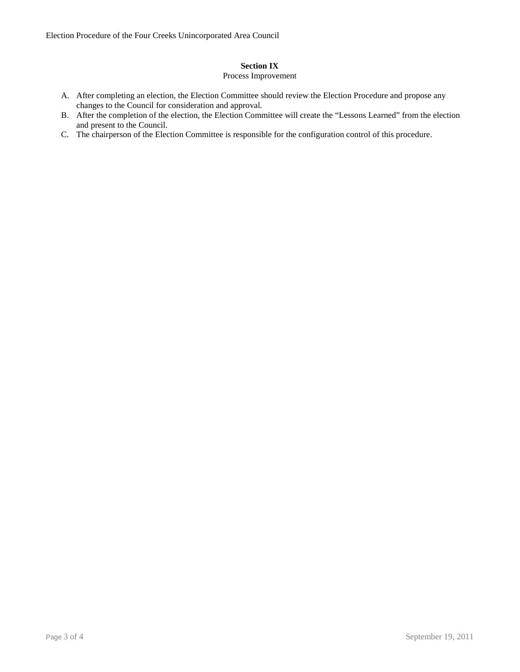# **Section IX**

# Process Improvement

- A. After completing an election, the Election Committee should review the Election Procedure and propose any changes to the Council for consideration and approval.
- B. After the completion of the election, the Election Committee will create the "Lessons Learned" from the election and present to the Council.
- C. The chairperson of the Election Committee is responsible for the configuration control of this procedure.